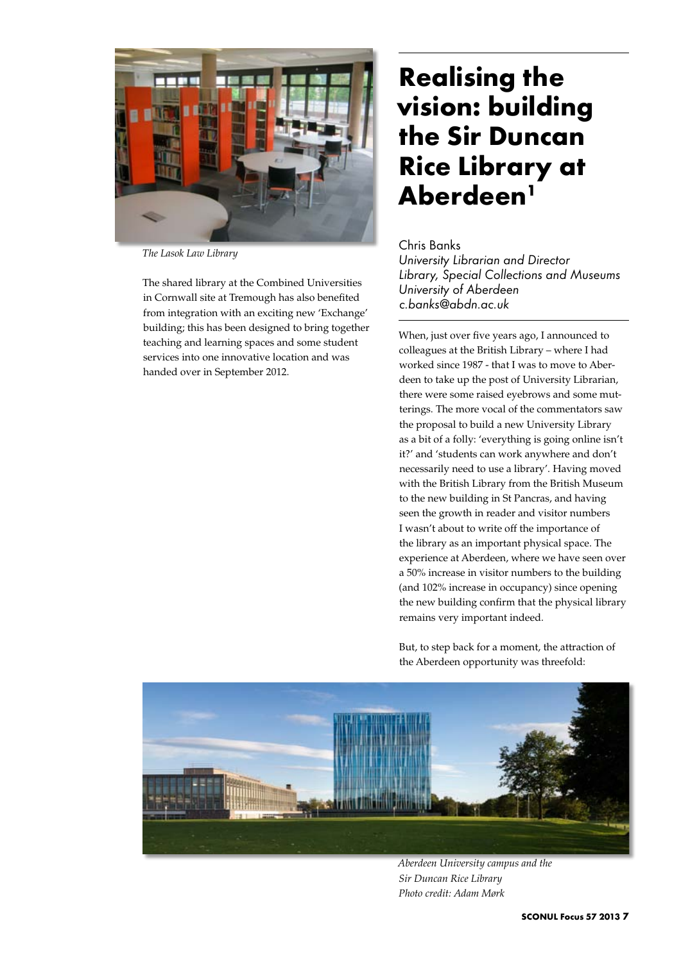

*The Lasok Law Library*

The shared library at the Combined Universities in Cornwall site at Tremough has also benefited from integration with an exciting new 'Exchange' building; this has been designed to bring together teaching and learning spaces and some student services into one innovative location and was handed over in September 2012.

## **Realising the vision: building the Sir Duncan Rice Library at Aberdeen1**

## Chris Banks

*University Librarian and Director Library, Special Collections and Museums University of Aberdeen c.banks@abdn.ac.uk*

When, just over five years ago, I announced to colleagues at the British Library – where I had worked since 1987 - that I was to move to Aberdeen to take up the post of University Librarian, there were some raised eyebrows and some mutterings. The more vocal of the commentators saw the proposal to build a new University Library as a bit of a folly: 'everything is going online isn't it?' and 'students can work anywhere and don't necessarily need to use a library'. Having moved with the British Library from the British Museum to the new building in St Pancras, and having seen the growth in reader and visitor numbers I wasn't about to write off the importance of the library as an important physical space. The experience at Aberdeen, where we have seen over a 50% increase in visitor numbers to the building (and 102% increase in occupancy) since opening the new building confirm that the physical library remains very important indeed.

But, to step back for a moment, the attraction of the Aberdeen opportunity was threefold:



*Aberdeen University campus and the Sir Duncan Rice Library Photo credit: Adam Mørk*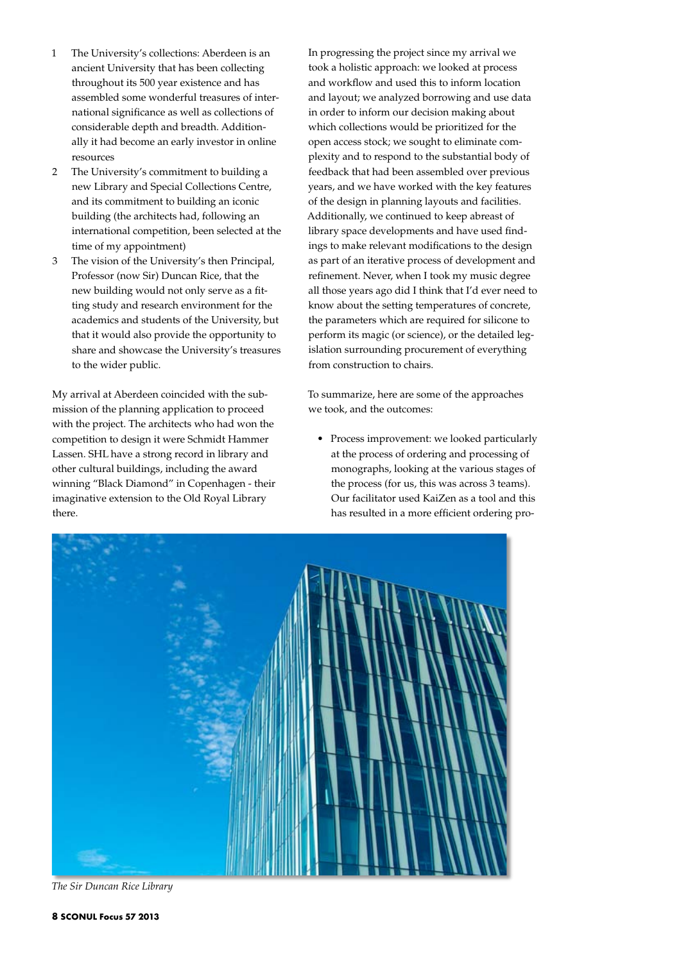- 1 The University's collections: Aberdeen is an ancient University that has been collecting throughout its 500 year existence and has assembled some wonderful treasures of international significance as well as collections of considerable depth and breadth. Additionally it had become an early investor in online resources
- 2 The University's commitment to building a new Library and Special Collections Centre, and its commitment to building an iconic building (the architects had, following an international competition, been selected at the time of my appointment)
- 3 The vision of the University's then Principal, Professor (now Sir) Duncan Rice, that the new building would not only serve as a fitting study and research environment for the academics and students of the University, but that it would also provide the opportunity to share and showcase the University's treasures to the wider public.

My arrival at Aberdeen coincided with the submission of the planning application to proceed with the project. The architects who had won the competition to design it were Schmidt Hammer Lassen. SHL have a strong record in library and other cultural buildings, including the award winning "Black Diamond" in Copenhagen - their imaginative extension to the Old Royal Library there.

In progressing the project since my arrival we took a holistic approach: we looked at process and workflow and used this to inform location and layout; we analyzed borrowing and use data in order to inform our decision making about which collections would be prioritized for the open access stock; we sought to eliminate complexity and to respond to the substantial body of feedback that had been assembled over previous years, and we have worked with the key features of the design in planning layouts and facilities. Additionally, we continued to keep abreast of library space developments and have used findings to make relevant modifications to the design as part of an iterative process of development and refinement. Never, when I took my music degree all those years ago did I think that I'd ever need to know about the setting temperatures of concrete, the parameters which are required for silicone to perform its magic (or science), or the detailed legislation surrounding procurement of everything from construction to chairs.

To summarize, here are some of the approaches we took, and the outcomes:

• Process improvement: we looked particularly at the process of ordering and processing of monographs, looking at the various stages of the process (for us, this was across 3 teams). Our facilitator used KaiZen as a tool and this has resulted in a more efficient ordering pro-



*The Sir Duncan Rice Library*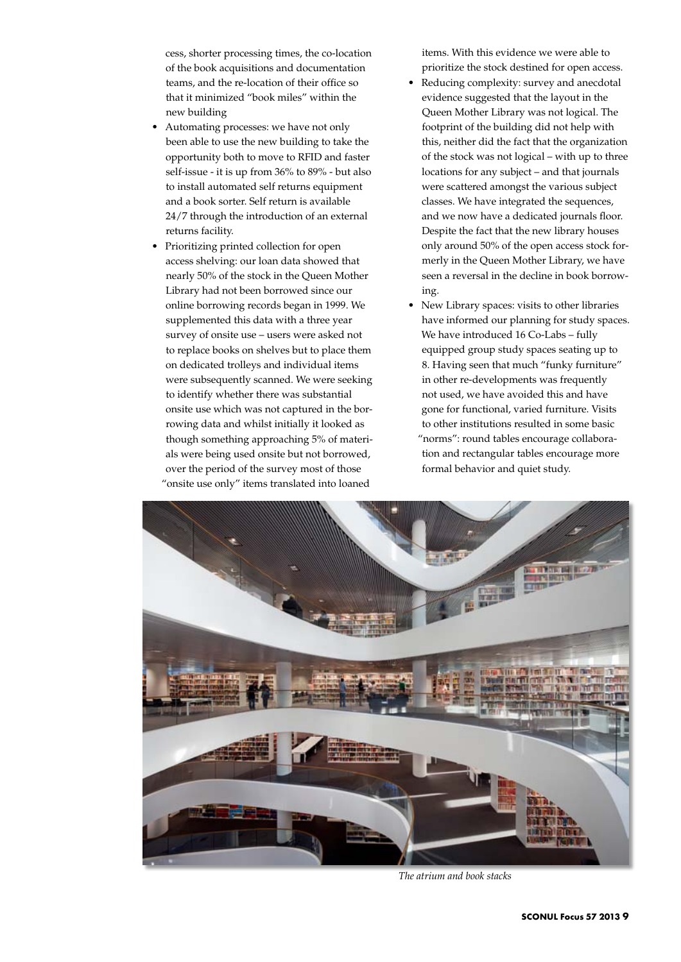cess, shorter processing times, the co-location of the book acquisitions and documentation teams, and the re-location of their office so that it minimized "book miles" within the new building

- Automating processes: we have not only been able to use the new building to take the opportunity both to move to RFID and faster self-issue - it is up from 36% to 89% - but also to install automated self returns equipment and a book sorter. Self return is available 24/7 through the introduction of an external returns facility.
- Prioritizing printed collection for open access shelving: our loan data showed that nearly 50% of the stock in the Queen Mother Library had not been borrowed since our online borrowing records began in 1999. We supplemented this data with a three year survey of onsite use – users were asked not to replace books on shelves but to place them on dedicated trolleys and individual items were subsequently scanned. We were seeking to identify whether there was substantial onsite use which was not captured in the borrowing data and whilst initially it looked as though something approaching 5% of materials were being used onsite but not borrowed, over the period of the survey most of those "onsite use only" items translated into loaned

items. With this evidence we were able to prioritize the stock destined for open access.

- Reducing complexity: survey and anecdotal evidence suggested that the layout in the Queen Mother Library was not logical. The footprint of the building did not help with this, neither did the fact that the organization of the stock was not logical – with up to three locations for any subject – and that journals were scattered amongst the various subject classes. We have integrated the sequences, and we now have a dedicated journals floor. Despite the fact that the new library houses only around 50% of the open access stock formerly in the Queen Mother Library, we have seen a reversal in the decline in book borrowing.
- New Library spaces: visits to other libraries have informed our planning for study spaces. We have introduced 16 Co-Labs – fully equipped group study spaces seating up to 8. Having seen that much "funky furniture" in other re-developments was frequently not used, we have avoided this and have gone for functional, varied furniture. Visits to other institutions resulted in some basic "norms": round tables encourage collaboration and rectangular tables encourage more formal behavior and quiet study.



*The atrium and book stacks*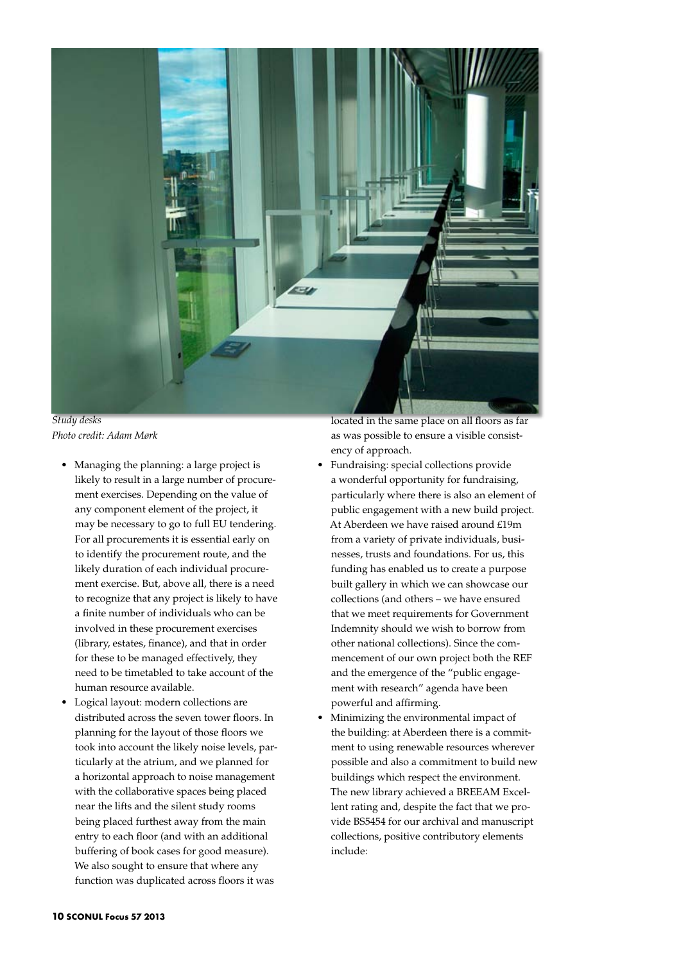

*Study desks Photo credit: Adam Mørk*

- • Managing the planning: a large project is likely to result in a large number of procurement exercises. Depending on the value of any component element of the project, it may be necessary to go to full EU tendering. For all procurements it is essential early on to identify the procurement route, and the likely duration of each individual procurement exercise. But, above all, there is a need to recognize that any project is likely to have a finite number of individuals who can be involved in these procurement exercises (library, estates, finance), and that in order for these to be managed effectively, they need to be timetabled to take account of the human resource available.
- Logical layout: modern collections are distributed across the seven tower floors. In planning for the layout of those floors we took into account the likely noise levels, particularly at the atrium, and we planned for a horizontal approach to noise management with the collaborative spaces being placed near the lifts and the silent study rooms being placed furthest away from the main entry to each floor (and with an additional buffering of book cases for good measure). We also sought to ensure that where any function was duplicated across floors it was

located in the same place on all floors as far as was possible to ensure a visible consistency of approach.

- Fundraising: special collections provide a wonderful opportunity for fundraising, particularly where there is also an element of public engagement with a new build project. At Aberdeen we have raised around £19m from a variety of private individuals, businesses, trusts and foundations. For us, this funding has enabled us to create a purpose built gallery in which we can showcase our collections (and others – we have ensured that we meet requirements for Government Indemnity should we wish to borrow from other national collections). Since the commencement of our own project both the REF and the emergence of the "public engagement with research" agenda have been powerful and affirming.
- Minimizing the environmental impact of the building: at Aberdeen there is a commitment to using renewable resources wherever possible and also a commitment to build new buildings which respect the environment. The new library achieved a BREEAM Excellent rating and, despite the fact that we provide BS5454 for our archival and manuscript collections, positive contributory elements include: